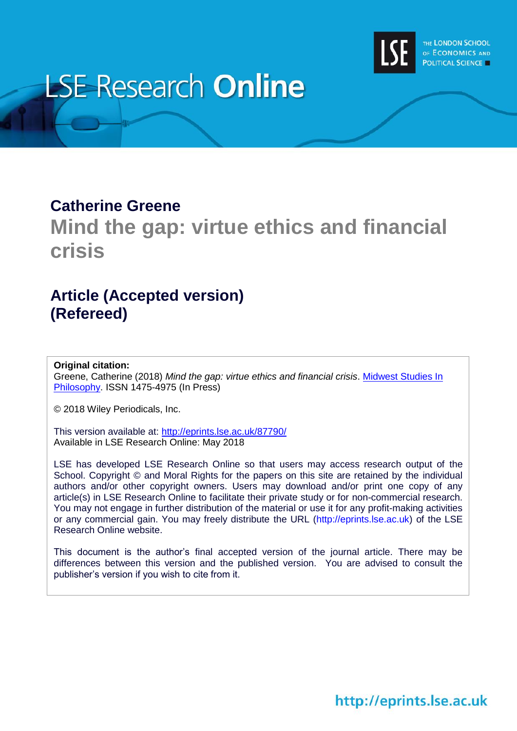

# **LSE Research Online**

### **Catherine Greene**

# **Mind the gap: virtue ethics and financial crisis**

## **Article (Accepted version) (Refereed)**

#### **Original citation:**

Greene, Catherine (2018) *Mind the gap: virtue ethics and financial crisis*. [Midwest Studies In](https://onlinelibrary.wiley.com/journal/14754975)  [Philosophy.](https://onlinelibrary.wiley.com/journal/14754975) ISSN 1475-4975 (In Press)

© 2018 Wiley Periodicals, Inc.

This version available at:<http://eprints.lse.ac.uk/87790/> Available in LSE Research Online: May 2018

LSE has developed LSE Research Online so that users may access research output of the School. Copyright © and Moral Rights for the papers on this site are retained by the individual authors and/or other copyright owners. Users may download and/or print one copy of any article(s) in LSE Research Online to facilitate their private study or for non-commercial research. You may not engage in further distribution of the material or use it for any profit-making activities or any commercial gain. You may freely distribute the URL (http://eprints.lse.ac.uk) of the LSE Research Online website.

This document is the author's final accepted version of the journal article. There may be differences between this version and the published version. You are advised to consult the publisher's version if you wish to cite from it.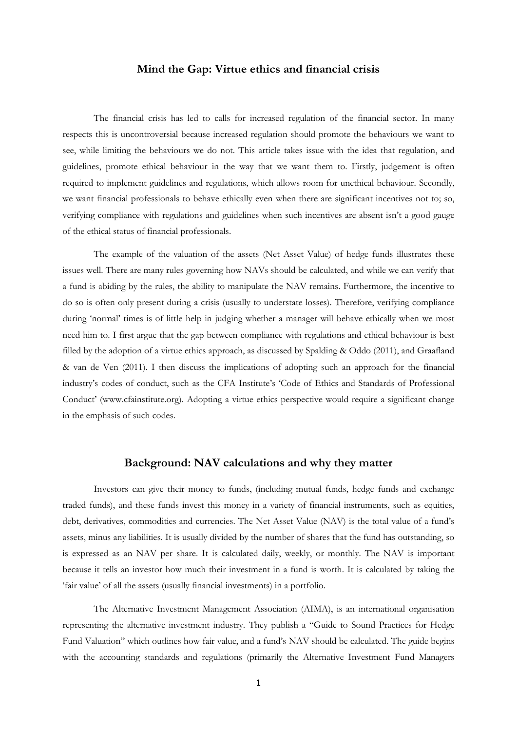#### **Mind the Gap: Virtue ethics and financial crisis**

The financial crisis has led to calls for increased regulation of the financial sector. In many respects this is uncontroversial because increased regulation should promote the behaviours we want to see, while limiting the behaviours we do not. This article takes issue with the idea that regulation, and guidelines, promote ethical behaviour in the way that we want them to. Firstly, judgement is often required to implement guidelines and regulations, which allows room for unethical behaviour. Secondly, we want financial professionals to behave ethically even when there are significant incentives not to; so, verifying compliance with regulations and guidelines when such incentives are absent isn't a good gauge of the ethical status of financial professionals.

The example of the valuation of the assets (Net Asset Value) of hedge funds illustrates these issues well. There are many rules governing how NAVs should be calculated, and while we can verify that a fund is abiding by the rules, the ability to manipulate the NAV remains. Furthermore, the incentive to do so is often only present during a crisis (usually to understate losses). Therefore, verifying compliance during 'normal' times is of little help in judging whether a manager will behave ethically when we most need him to. I first argue that the gap between compliance with regulations and ethical behaviour is best filled by the adoption of a virtue ethics approach, as discussed by Spalding & Oddo (2011), and Graafland & van de Ven (2011). I then discuss the implications of adopting such an approach for the financial industry's codes of conduct, such as the CFA Institute's 'Code of Ethics and Standards of Professional Conduct' (www.cfainstitute.org). Adopting a virtue ethics perspective would require a significant change in the emphasis of such codes.

#### **Background: NAV calculations and why they matter**

Investors can give their money to funds, (including mutual funds, hedge funds and exchange traded funds), and these funds invest this money in a variety of financial instruments, such as equities, debt, derivatives, commodities and currencies. The Net Asset Value (NAV) is the total value of a fund's assets, minus any liabilities. It is usually divided by the number of shares that the fund has outstanding, so is expressed as an NAV per share. It is calculated daily, weekly, or monthly. The NAV is important because it tells an investor how much their investment in a fund is worth. It is calculated by taking the 'fair value' of all the assets (usually financial investments) in a portfolio.

The Alternative Investment Management Association (AIMA), is an international organisation representing the alternative investment industry. They publish a "Guide to Sound Practices for Hedge Fund Valuation" which outlines how fair value, and a fund's NAV should be calculated. The guide begins with the accounting standards and regulations (primarily the Alternative Investment Fund Managers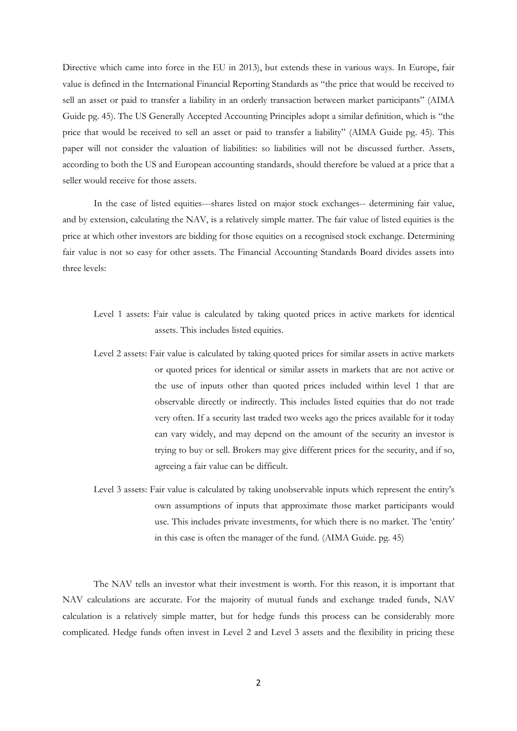Directive which came into force in the EU in 2013), but extends these in various ways. In Europe, fair value is defined in the International Financial Reporting Standards as "the price that would be received to sell an asset or paid to transfer a liability in an orderly transaction between market participants" (AIMA Guide pg. 45). The US Generally Accepted Accounting Principles adopt a similar definition, which is "the price that would be received to sell an asset or paid to transfer a liability" (AIMA Guide pg. 45). This paper will not consider the valuation of liabilities: so liabilities will not be discussed further. Assets, according to both the US and European accounting standards, should therefore be valued at a price that a seller would receive for those assets.

In the case of listed equities---shares listed on major stock exchanges-- determining fair value, and by extension, calculating the NAV, is a relatively simple matter. The fair value of listed equities is the price at which other investors are bidding for those equities on a recognised stock exchange. Determining fair value is not so easy for other assets. The Financial Accounting Standards Board divides assets into three levels:

- Level 1 assets: Fair value is calculated by taking quoted prices in active markets for identical assets. This includes listed equities.
- Level 2 assets: Fair value is calculated by taking quoted prices for similar assets in active markets or quoted prices for identical or similar assets in markets that are not active or the use of inputs other than quoted prices included within level 1 that are observable directly or indirectly. This includes listed equities that do not trade very often. If a security last traded two weeks ago the prices available for it today can vary widely, and may depend on the amount of the security an investor is trying to buy or sell. Brokers may give different prices for the security, and if so, agreeing a fair value can be difficult.
- Level 3 assets: Fair value is calculated by taking unobservable inputs which represent the entity's own assumptions of inputs that approximate those market participants would use. This includes private investments, for which there is no market. The 'entity' in this case is often the manager of the fund. (AIMA Guide. pg. 45)

The NAV tells an investor what their investment is worth. For this reason, it is important that NAV calculations are accurate. For the majority of mutual funds and exchange traded funds, NAV calculation is a relatively simple matter, but for hedge funds this process can be considerably more complicated. Hedge funds often invest in Level 2 and Level 3 assets and the flexibility in pricing these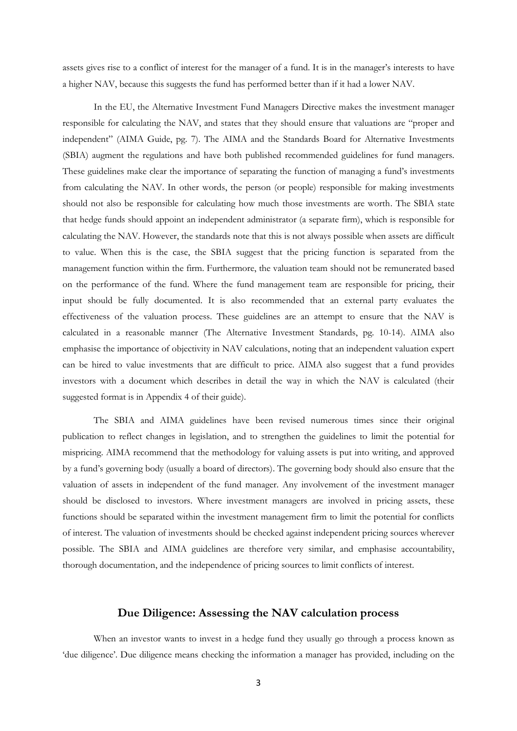assets gives rise to a conflict of interest for the manager of a fund. It is in the manager's interests to have a higher NAV, because this suggests the fund has performed better than if it had a lower NAV.

In the EU, the Alternative Investment Fund Managers Directive makes the investment manager responsible for calculating the NAV, and states that they should ensure that valuations are "proper and independent" (AIMA Guide, pg. 7). The AIMA and the Standards Board for Alternative Investments (SBIA) augment the regulations and have both published recommended guidelines for fund managers. These guidelines make clear the importance of separating the function of managing a fund's investments from calculating the NAV. In other words, the person (or people) responsible for making investments should not also be responsible for calculating how much those investments are worth. The SBIA state that hedge funds should appoint an independent administrator (a separate firm), which is responsible for calculating the NAV. However, the standards note that this is not always possible when assets are difficult to value. When this is the case, the SBIA suggest that the pricing function is separated from the management function within the firm. Furthermore, the valuation team should not be remunerated based on the performance of the fund. Where the fund management team are responsible for pricing, their input should be fully documented. It is also recommended that an external party evaluates the effectiveness of the valuation process. These guidelines are an attempt to ensure that the NAV is calculated in a reasonable manner (The Alternative Investment Standards, pg. 10-14). AIMA also emphasise the importance of objectivity in NAV calculations, noting that an independent valuation expert can be hired to value investments that are difficult to price. AIMA also suggest that a fund provides investors with a document which describes in detail the way in which the NAV is calculated (their suggested format is in Appendix 4 of their guide).

The SBIA and AIMA guidelines have been revised numerous times since their original publication to reflect changes in legislation, and to strengthen the guidelines to limit the potential for mispricing. AIMA recommend that the methodology for valuing assets is put into writing, and approved by a fund's governing body (usually a board of directors). The governing body should also ensure that the valuation of assets in independent of the fund manager. Any involvement of the investment manager should be disclosed to investors. Where investment managers are involved in pricing assets, these functions should be separated within the investment management firm to limit the potential for conflicts of interest. The valuation of investments should be checked against independent pricing sources wherever possible. The SBIA and AIMA guidelines are therefore very similar, and emphasise accountability, thorough documentation, and the independence of pricing sources to limit conflicts of interest.

#### **Due Diligence: Assessing the NAV calculation process**

When an investor wants to invest in a hedge fund they usually go through a process known as 'due diligence'. Due diligence means checking the information a manager has provided, including on the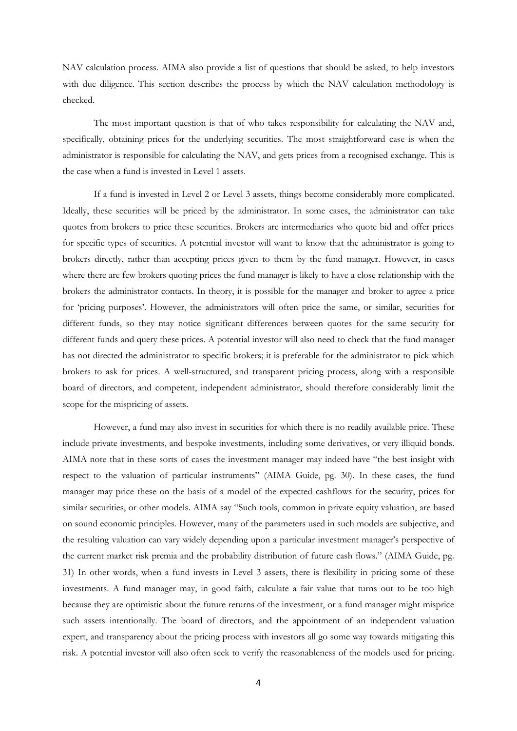NAV calculation process. AIMA also provide a list of questions that should be asked, to help investors with due diligence. This section describes the process by which the NAV calculation methodology is checked.

The most important question is that of who takes responsibility for calculating the NAV and, specifically, obtaining prices for the underlying securities. The most straightforward case is when the administrator is responsible for calculating the NAV, and gets prices from a recognised exchange. This is the case when a fund is invested in Level 1 assets.

If a fund is invested in Level 2 or Level 3 assets, things become considerably more complicated. Ideally, these securities will be priced by the administrator. In some cases, the administrator can take quotes from brokers to price these securities. Brokers are intermediaries who quote bid and offer prices for specific types of securities. A potential investor will want to know that the administrator is going to brokers directly, rather than accepting prices given to them by the fund manager. However, in cases where there are few brokers quoting prices the fund manager is likely to have a close relationship with the brokers the administrator contacts. In theory, it is possible for the manager and broker to agree a price for 'pricing purposes'. However, the administrators will often price the same, or similar, securities for different funds, so they may notice significant differences between quotes for the same security for different funds and query these prices. A potential investor will also need to check that the fund manager has not directed the administrator to specific brokers; it is preferable for the administrator to pick which brokers to ask for prices. A well-structured, and transparent pricing process, along with a responsible board of directors, and competent, independent administrator, should therefore considerably limit the scope for the mispricing of assets.

However, a fund may also invest in securities for which there is no readily available price. These include private investments, and bespoke investments, including some derivatives, or very illiquid bonds. AIMA note that in these sorts of cases the investment manager may indeed have "the best insight with respect to the valuation of particular instruments" (AIMA Guide, pg. 30). In these cases, the fund manager may price these on the basis of a model of the expected cashflows for the security, prices for similar securities, or other models. AIMA say "Such tools, common in private equity valuation, are based on sound economic principles. However, many of the parameters used in such models are subjective, and the resulting valuation can vary widely depending upon a particular investment manager's perspective of the current market risk premia and the probability distribution of future cash flows." (AIMA Guide, pg. 31) In other words, when a fund invests in Level 3 assets, there is flexibility in pricing some of these investments. A fund manager may, in good faith, calculate a fair value that turns out to be too high because they are optimistic about the future returns of the investment, or a fund manager might misprice such assets intentionally. The board of directors, and the appointment of an independent valuation expert, and transparency about the pricing process with investors all go some way towards mitigating this risk. A potential investor will also often seek to verify the reasonableness of the models used for pricing.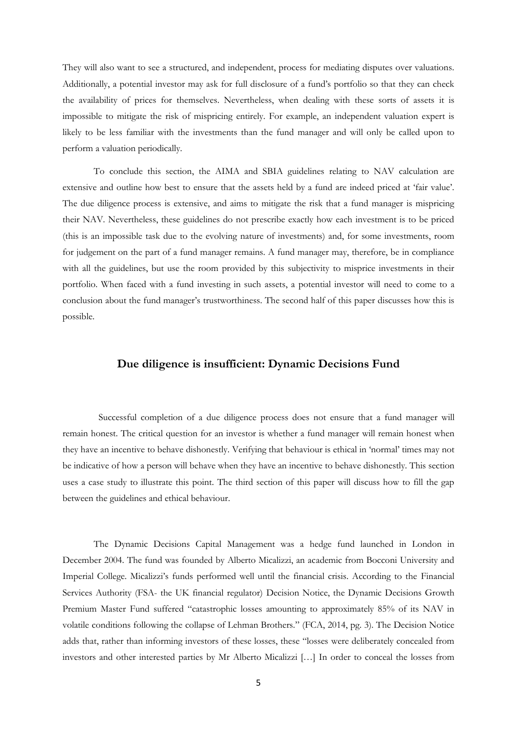They will also want to see a structured, and independent, process for mediating disputes over valuations. Additionally, a potential investor may ask for full disclosure of a fund's portfolio so that they can check the availability of prices for themselves. Nevertheless, when dealing with these sorts of assets it is impossible to mitigate the risk of mispricing entirely. For example, an independent valuation expert is likely to be less familiar with the investments than the fund manager and will only be called upon to perform a valuation periodically.

To conclude this section, the AIMA and SBIA guidelines relating to NAV calculation are extensive and outline how best to ensure that the assets held by a fund are indeed priced at 'fair value'. The due diligence process is extensive, and aims to mitigate the risk that a fund manager is mispricing their NAV. Nevertheless, these guidelines do not prescribe exactly how each investment is to be priced (this is an impossible task due to the evolving nature of investments) and, for some investments, room for judgement on the part of a fund manager remains. A fund manager may, therefore, be in compliance with all the guidelines, but use the room provided by this subjectivity to misprice investments in their portfolio. When faced with a fund investing in such assets, a potential investor will need to come to a conclusion about the fund manager's trustworthiness. The second half of this paper discusses how this is possible.

#### **Due diligence is insufficient: Dynamic Decisions Fund**

Successful completion of a due diligence process does not ensure that a fund manager will remain honest. The critical question for an investor is whether a fund manager will remain honest when they have an incentive to behave dishonestly. Verifying that behaviour is ethical in 'normal' times may not be indicative of how a person will behave when they have an incentive to behave dishonestly. This section uses a case study to illustrate this point. The third section of this paper will discuss how to fill the gap between the guidelines and ethical behaviour.

The Dynamic Decisions Capital Management was a hedge fund launched in London in December 2004. The fund was founded by Alberto Micalizzi, an academic from Bocconi University and Imperial College. Micalizzi's funds performed well until the financial crisis. According to the Financial Services Authority (FSA- the UK financial regulator) Decision Notice, the Dynamic Decisions Growth Premium Master Fund suffered "catastrophic losses amounting to approximately 85% of its NAV in volatile conditions following the collapse of Lehman Brothers." (FCA, 2014, pg. 3). The Decision Notice adds that, rather than informing investors of these losses, these "losses were deliberately concealed from investors and other interested parties by Mr Alberto Micalizzi […] In order to conceal the losses from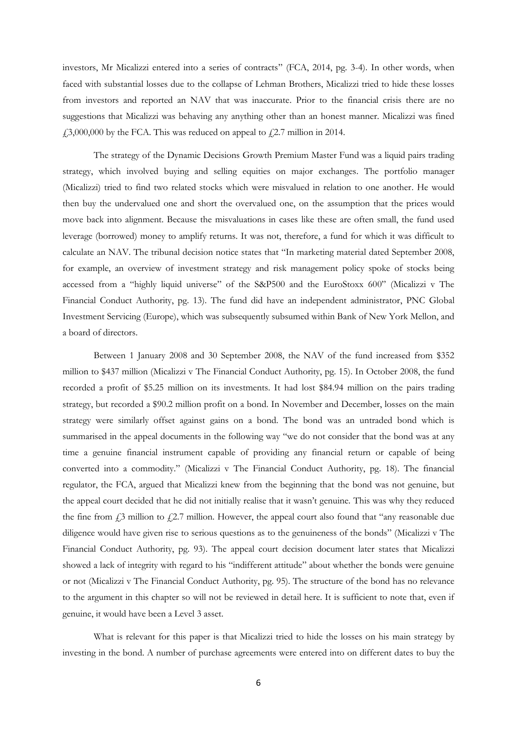investors, Mr Micalizzi entered into a series of contracts" (FCA, 2014, pg. 3-4). In other words, when faced with substantial losses due to the collapse of Lehman Brothers, Micalizzi tried to hide these losses from investors and reported an NAV that was inaccurate. Prior to the financial crisis there are no suggestions that Micalizzi was behaving any anything other than an honest manner. Micalizzi was fined £3,000,000 by the FCA. This was reduced on appeal to £2.7 million in 2014.

The strategy of the Dynamic Decisions Growth Premium Master Fund was a liquid pairs trading strategy, which involved buying and selling equities on major exchanges. The portfolio manager (Micalizzi) tried to find two related stocks which were misvalued in relation to one another. He would then buy the undervalued one and short the overvalued one, on the assumption that the prices would move back into alignment. Because the misvaluations in cases like these are often small, the fund used leverage (borrowed) money to amplify returns. It was not, therefore, a fund for which it was difficult to calculate an NAV. The tribunal decision notice states that "In marketing material dated September 2008, for example, an overview of investment strategy and risk management policy spoke of stocks being accessed from a "highly liquid universe" of the S&P500 and the EuroStoxx 600" (Micalizzi v The Financial Conduct Authority, pg. 13). The fund did have an independent administrator, PNC Global Investment Servicing (Europe), which was subsequently subsumed within Bank of New York Mellon, and a board of directors.

Between 1 January 2008 and 30 September 2008, the NAV of the fund increased from \$352 million to \$437 million (Micalizzi v The Financial Conduct Authority, pg. 15). In October 2008, the fund recorded a profit of \$5.25 million on its investments. It had lost \$84.94 million on the pairs trading strategy, but recorded a \$90.2 million profit on a bond. In November and December, losses on the main strategy were similarly offset against gains on a bond. The bond was an untraded bond which is summarised in the appeal documents in the following way "we do not consider that the bond was at any time a genuine financial instrument capable of providing any financial return or capable of being converted into a commodity." (Micalizzi v The Financial Conduct Authority, pg. 18). The financial regulator, the FCA, argued that Micalizzi knew from the beginning that the bond was not genuine, but the appeal court decided that he did not initially realise that it wasn't genuine. This was why they reduced the fine from  $\hat{L}$ 3 million to  $\hat{L}$ 2.7 million. However, the appeal court also found that "any reasonable due diligence would have given rise to serious questions as to the genuineness of the bonds" (Micalizzi v The Financial Conduct Authority, pg. 93). The appeal court decision document later states that Micalizzi showed a lack of integrity with regard to his "indifferent attitude" about whether the bonds were genuine or not (Micalizzi v The Financial Conduct Authority, pg. 95). The structure of the bond has no relevance to the argument in this chapter so will not be reviewed in detail here. It is sufficient to note that, even if genuine, it would have been a Level 3 asset.

What is relevant for this paper is that Micalizzi tried to hide the losses on his main strategy by investing in the bond. A number of purchase agreements were entered into on different dates to buy the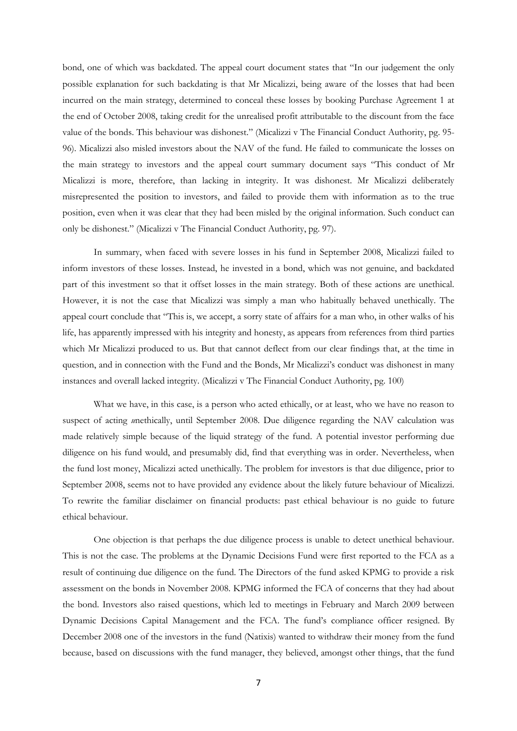bond, one of which was backdated. The appeal court document states that "In our judgement the only possible explanation for such backdating is that Mr Micalizzi, being aware of the losses that had been incurred on the main strategy, determined to conceal these losses by booking Purchase Agreement 1 at the end of October 2008, taking credit for the unrealised profit attributable to the discount from the face value of the bonds. This behaviour was dishonest." (Micalizzi v The Financial Conduct Authority, pg. 95- 96). Micalizzi also misled investors about the NAV of the fund. He failed to communicate the losses on the main strategy to investors and the appeal court summary document says "This conduct of Mr Micalizzi is more, therefore, than lacking in integrity. It was dishonest. Mr Micalizzi deliberately misrepresented the position to investors, and failed to provide them with information as to the true position, even when it was clear that they had been misled by the original information. Such conduct can only be dishonest." (Micalizzi v The Financial Conduct Authority, pg. 97).

In summary, when faced with severe losses in his fund in September 2008, Micalizzi failed to inform investors of these losses. Instead, he invested in a bond, which was not genuine, and backdated part of this investment so that it offset losses in the main strategy. Both of these actions are unethical. However, it is not the case that Micalizzi was simply a man who habitually behaved unethically. The appeal court conclude that "This is, we accept, a sorry state of affairs for a man who, in other walks of his life, has apparently impressed with his integrity and honesty, as appears from references from third parties which Mr Micalizzi produced to us. But that cannot deflect from our clear findings that, at the time in question, and in connection with the Fund and the Bonds, Mr Micalizzi's conduct was dishonest in many instances and overall lacked integrity. (Micalizzi v The Financial Conduct Authority, pg. 100)

What we have, in this case, is a person who acted ethically, or at least, who we have no reason to suspect of acting *u*nethically, until September 2008. Due diligence regarding the NAV calculation was made relatively simple because of the liquid strategy of the fund. A potential investor performing due diligence on his fund would, and presumably did, find that everything was in order. Nevertheless, when the fund lost money, Micalizzi acted unethically. The problem for investors is that due diligence, prior to September 2008, seems not to have provided any evidence about the likely future behaviour of Micalizzi. To rewrite the familiar disclaimer on financial products: past ethical behaviour is no guide to future ethical behaviour.

One objection is that perhaps the due diligence process is unable to detect unethical behaviour. This is not the case. The problems at the Dynamic Decisions Fund were first reported to the FCA as a result of continuing due diligence on the fund. The Directors of the fund asked KPMG to provide a risk assessment on the bonds in November 2008. KPMG informed the FCA of concerns that they had about the bond. Investors also raised questions, which led to meetings in February and March 2009 between Dynamic Decisions Capital Management and the FCA. The fund's compliance officer resigned. By December 2008 one of the investors in the fund (Natixis) wanted to withdraw their money from the fund because, based on discussions with the fund manager, they believed, amongst other things, that the fund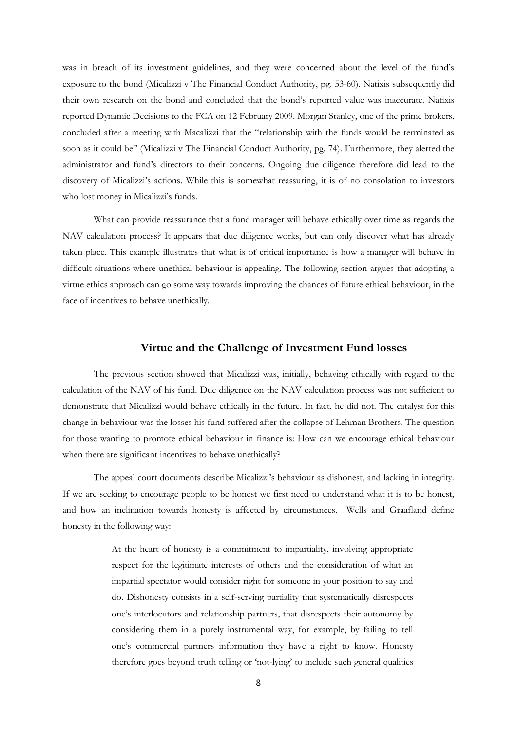was in breach of its investment guidelines, and they were concerned about the level of the fund's exposure to the bond (Micalizzi v The Financial Conduct Authority, pg. 53-60). Natixis subsequently did their own research on the bond and concluded that the bond's reported value was inaccurate. Natixis reported Dynamic Decisions to the FCA on 12 February 2009. Morgan Stanley, one of the prime brokers, concluded after a meeting with Macalizzi that the "relationship with the funds would be terminated as soon as it could be" (Micalizzi v The Financial Conduct Authority, pg. 74). Furthermore, they alerted the administrator and fund's directors to their concerns. Ongoing due diligence therefore did lead to the discovery of Micalizzi's actions. While this is somewhat reassuring, it is of no consolation to investors who lost money in Micalizzi's funds.

What can provide reassurance that a fund manager will behave ethically over time as regards the NAV calculation process? It appears that due diligence works, but can only discover what has already taken place. This example illustrates that what is of critical importance is how a manager will behave in difficult situations where unethical behaviour is appealing. The following section argues that adopting a virtue ethics approach can go some way towards improving the chances of future ethical behaviour, in the face of incentives to behave unethically.

#### **Virtue and the Challenge of Investment Fund losses**

The previous section showed that Micalizzi was, initially, behaving ethically with regard to the calculation of the NAV of his fund. Due diligence on the NAV calculation process was not sufficient to demonstrate that Micalizzi would behave ethically in the future. In fact, he did not. The catalyst for this change in behaviour was the losses his fund suffered after the collapse of Lehman Brothers. The question for those wanting to promote ethical behaviour in finance is: How can we encourage ethical behaviour when there are significant incentives to behave unethically?

The appeal court documents describe Micalizzi's behaviour as dishonest, and lacking in integrity. If we are seeking to encourage people to be honest we first need to understand what it is to be honest, and how an inclination towards honesty is affected by circumstances. Wells and Graafland define honesty in the following way:

> At the heart of honesty is a commitment to impartiality, involving appropriate respect for the legitimate interests of others and the consideration of what an impartial spectator would consider right for someone in your position to say and do. Dishonesty consists in a self-serving partiality that systematically disrespects one's interlocutors and relationship partners, that disrespects their autonomy by considering them in a purely instrumental way, for example, by failing to tell one's commercial partners information they have a right to know. Honesty therefore goes beyond truth telling or 'not-lying' to include such general qualities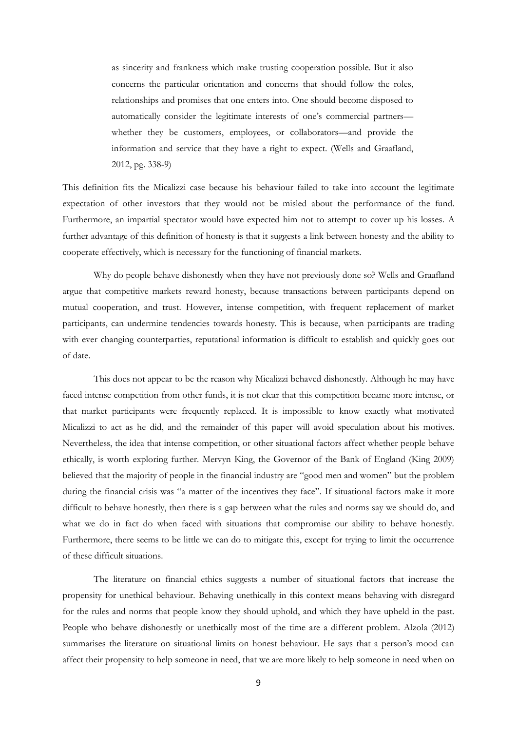as sincerity and frankness which make trusting cooperation possible. But it also concerns the particular orientation and concerns that should follow the roles, relationships and promises that one enters into. One should become disposed to automatically consider the legitimate interests of one's commercial partners whether they be customers, employees, or collaborators—and provide the information and service that they have a right to expect. (Wells and Graafland, 2012, pg. 338-9)

This definition fits the Micalizzi case because his behaviour failed to take into account the legitimate expectation of other investors that they would not be misled about the performance of the fund. Furthermore, an impartial spectator would have expected him not to attempt to cover up his losses. A further advantage of this definition of honesty is that it suggests a link between honesty and the ability to cooperate effectively, which is necessary for the functioning of financial markets.

Why do people behave dishonestly when they have not previously done so? Wells and Graafland argue that competitive markets reward honesty, because transactions between participants depend on mutual cooperation, and trust. However, intense competition, with frequent replacement of market participants, can undermine tendencies towards honesty. This is because, when participants are trading with ever changing counterparties, reputational information is difficult to establish and quickly goes out of date.

This does not appear to be the reason why Micalizzi behaved dishonestly. Although he may have faced intense competition from other funds, it is not clear that this competition became more intense, or that market participants were frequently replaced. It is impossible to know exactly what motivated Micalizzi to act as he did, and the remainder of this paper will avoid speculation about his motives. Nevertheless, the idea that intense competition, or other situational factors affect whether people behave ethically, is worth exploring further. Mervyn King, the Governor of the Bank of England (King 2009) believed that the majority of people in the financial industry are "good men and women" but the problem during the financial crisis was "a matter of the incentives they face". If situational factors make it more difficult to behave honestly, then there is a gap between what the rules and norms say we should do, and what we do in fact do when faced with situations that compromise our ability to behave honestly. Furthermore, there seems to be little we can do to mitigate this, except for trying to limit the occurrence of these difficult situations.

The literature on financial ethics suggests a number of situational factors that increase the propensity for unethical behaviour. Behaving unethically in this context means behaving with disregard for the rules and norms that people know they should uphold, and which they have upheld in the past. People who behave dishonestly or unethically most of the time are a different problem. Alzola (2012) summarises the literature on situational limits on honest behaviour. He says that a person's mood can affect their propensity to help someone in need, that we are more likely to help someone in need when on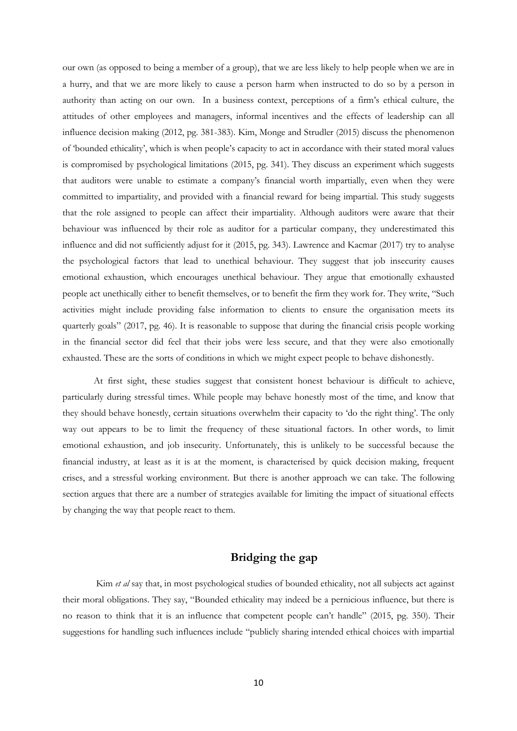our own (as opposed to being a member of a group), that we are less likely to help people when we are in a hurry, and that we are more likely to cause a person harm when instructed to do so by a person in authority than acting on our own. In a business context, perceptions of a firm's ethical culture, the attitudes of other employees and managers, informal incentives and the effects of leadership can all influence decision making (2012, pg. 381-383). Kim, Monge and Strudler (2015) discuss the phenomenon of 'bounded ethicality', which is when people's capacity to act in accordance with their stated moral values is compromised by psychological limitations (2015, pg. 341). They discuss an experiment which suggests that auditors were unable to estimate a company's financial worth impartially, even when they were committed to impartiality, and provided with a financial reward for being impartial. This study suggests that the role assigned to people can affect their impartiality. Although auditors were aware that their behaviour was influenced by their role as auditor for a particular company, they underestimated this influence and did not sufficiently adjust for it (2015, pg. 343). Lawrence and Kacmar (2017) try to analyse the psychological factors that lead to unethical behaviour. They suggest that job insecurity causes emotional exhaustion, which encourages unethical behaviour. They argue that emotionally exhausted people act unethically either to benefit themselves, or to benefit the firm they work for. They write, "Such activities might include providing false information to clients to ensure the organisation meets its quarterly goals" (2017, pg. 46). It is reasonable to suppose that during the financial crisis people working in the financial sector did feel that their jobs were less secure, and that they were also emotionally exhausted. These are the sorts of conditions in which we might expect people to behave dishonestly.

At first sight, these studies suggest that consistent honest behaviour is difficult to achieve, particularly during stressful times. While people may behave honestly most of the time, and know that they should behave honestly, certain situations overwhelm their capacity to 'do the right thing'. The only way out appears to be to limit the frequency of these situational factors. In other words, to limit emotional exhaustion, and job insecurity. Unfortunately, this is unlikely to be successful because the financial industry, at least as it is at the moment, is characterised by quick decision making, frequent crises, and a stressful working environment. But there is another approach we can take. The following section argues that there are a number of strategies available for limiting the impact of situational effects by changing the way that people react to them.

#### **Bridging the gap**

Kim *et al* say that, in most psychological studies of bounded ethicality, not all subjects act against their moral obligations. They say, "Bounded ethicality may indeed be a pernicious influence, but there is no reason to think that it is an influence that competent people can't handle" (2015, pg. 350). Their suggestions for handling such influences include "publicly sharing intended ethical choices with impartial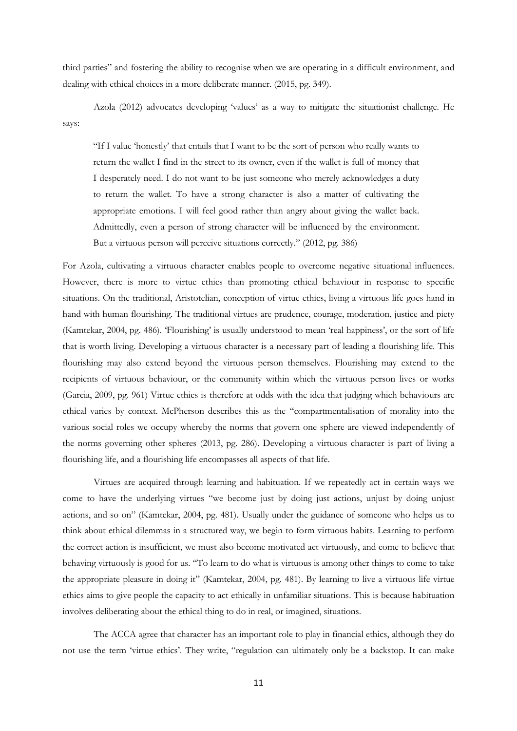third parties" and fostering the ability to recognise when we are operating in a difficult environment, and dealing with ethical choices in a more deliberate manner. (2015, pg. 349).

Azola (2012) advocates developing 'values' as a way to mitigate the situationist challenge. He says:

"If I value 'honestly' that entails that I want to be the sort of person who really wants to return the wallet I find in the street to its owner, even if the wallet is full of money that I desperately need. I do not want to be just someone who merely acknowledges a duty to return the wallet. To have a strong character is also a matter of cultivating the appropriate emotions. I will feel good rather than angry about giving the wallet back. Admittedly, even a person of strong character will be influenced by the environment. But a virtuous person will perceive situations correctly." (2012, pg. 386)

For Azola, cultivating a virtuous character enables people to overcome negative situational influences. However, there is more to virtue ethics than promoting ethical behaviour in response to specific situations. On the traditional, Aristotelian, conception of virtue ethics, living a virtuous life goes hand in hand with human flourishing. The traditional virtues are prudence, courage, moderation, justice and piety (Kamtekar, 2004, pg. 486). 'Flourishing' is usually understood to mean 'real happiness', or the sort of life that is worth living. Developing a virtuous character is a necessary part of leading a flourishing life. This flourishing may also extend beyond the virtuous person themselves. Flourishing may extend to the recipients of virtuous behaviour, or the community within which the virtuous person lives or works (Garcia, 2009, pg. 961) Virtue ethics is therefore at odds with the idea that judging which behaviours are ethical varies by context. McPherson describes this as the "compartmentalisation of morality into the various social roles we occupy whereby the norms that govern one sphere are viewed independently of the norms governing other spheres (2013, pg. 286). Developing a virtuous character is part of living a flourishing life, and a flourishing life encompasses all aspects of that life.

Virtues are acquired through learning and habituation. If we repeatedly act in certain ways we come to have the underlying virtues "we become just by doing just actions, unjust by doing unjust actions, and so on" (Kamtekar, 2004, pg. 481). Usually under the guidance of someone who helps us to think about ethical dilemmas in a structured way, we begin to form virtuous habits. Learning to perform the correct action is insufficient, we must also become motivated act virtuously, and come to believe that behaving virtuously is good for us. "To learn to do what is virtuous is among other things to come to take the appropriate pleasure in doing it" (Kamtekar, 2004, pg. 481). By learning to live a virtuous life virtue ethics aims to give people the capacity to act ethically in unfamiliar situations. This is because habituation involves deliberating about the ethical thing to do in real, or imagined, situations.

The ACCA agree that character has an important role to play in financial ethics, although they do not use the term 'virtue ethics'. They write, "regulation can ultimately only be a backstop. It can make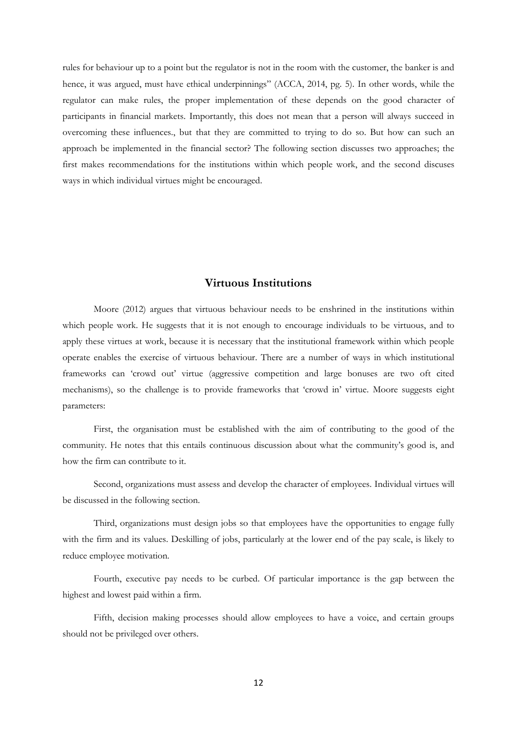rules for behaviour up to a point but the regulator is not in the room with the customer, the banker is and hence, it was argued, must have ethical underpinnings" (ACCA, 2014, pg. 5). In other words, while the regulator can make rules, the proper implementation of these depends on the good character of participants in financial markets. Importantly, this does not mean that a person will always succeed in overcoming these influences., but that they are committed to trying to do so. But how can such an approach be implemented in the financial sector? The following section discusses two approaches; the first makes recommendations for the institutions within which people work, and the second discuses ways in which individual virtues might be encouraged.

#### **Virtuous Institutions**

Moore (2012) argues that virtuous behaviour needs to be enshrined in the institutions within which people work. He suggests that it is not enough to encourage individuals to be virtuous, and to apply these virtues at work, because it is necessary that the institutional framework within which people operate enables the exercise of virtuous behaviour. There are a number of ways in which institutional frameworks can 'crowd out' virtue (aggressive competition and large bonuses are two oft cited mechanisms), so the challenge is to provide frameworks that 'crowd in' virtue. Moore suggests eight parameters:

First, the organisation must be established with the aim of contributing to the good of the community. He notes that this entails continuous discussion about what the community's good is, and how the firm can contribute to it.

Second, organizations must assess and develop the character of employees. Individual virtues will be discussed in the following section.

Third, organizations must design jobs so that employees have the opportunities to engage fully with the firm and its values. Deskilling of jobs, particularly at the lower end of the pay scale, is likely to reduce employee motivation.

Fourth, executive pay needs to be curbed. Of particular importance is the gap between the highest and lowest paid within a firm.

Fifth, decision making processes should allow employees to have a voice, and certain groups should not be privileged over others.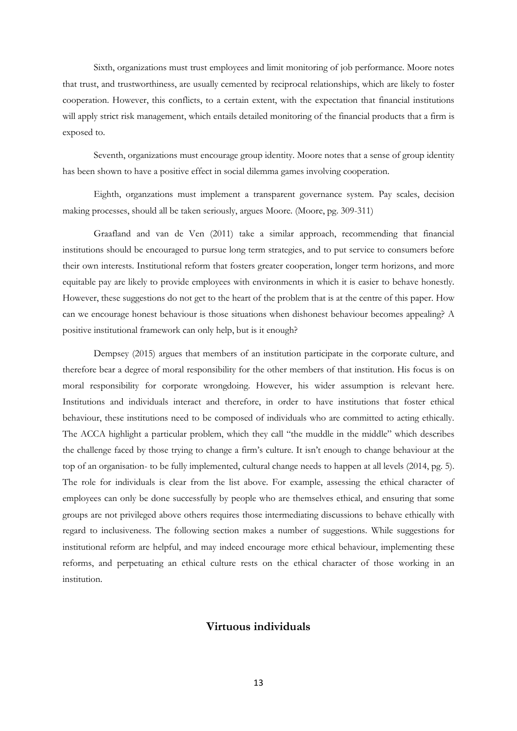Sixth, organizations must trust employees and limit monitoring of job performance. Moore notes that trust, and trustworthiness, are usually cemented by reciprocal relationships, which are likely to foster cooperation. However, this conflicts, to a certain extent, with the expectation that financial institutions will apply strict risk management, which entails detailed monitoring of the financial products that a firm is exposed to.

Seventh, organizations must encourage group identity. Moore notes that a sense of group identity has been shown to have a positive effect in social dilemma games involving cooperation.

Eighth, organzations must implement a transparent governance system. Pay scales, decision making processes, should all be taken seriously, argues Moore. (Moore, pg. 309-311)

Graafland and van de Ven (2011) take a similar approach, recommending that financial institutions should be encouraged to pursue long term strategies, and to put service to consumers before their own interests. Institutional reform that fosters greater cooperation, longer term horizons, and more equitable pay are likely to provide employees with environments in which it is easier to behave honestly. However, these suggestions do not get to the heart of the problem that is at the centre of this paper. How can we encourage honest behaviour is those situations when dishonest behaviour becomes appealing? A positive institutional framework can only help, but is it enough?

Dempsey (2015) argues that members of an institution participate in the corporate culture, and therefore bear a degree of moral responsibility for the other members of that institution. His focus is on moral responsibility for corporate wrongdoing. However, his wider assumption is relevant here. Institutions and individuals interact and therefore, in order to have institutions that foster ethical behaviour, these institutions need to be composed of individuals who are committed to acting ethically. The ACCA highlight a particular problem, which they call "the muddle in the middle" which describes the challenge faced by those trying to change a firm's culture. It isn't enough to change behaviour at the top of an organisation- to be fully implemented, cultural change needs to happen at all levels (2014, pg. 5). The role for individuals is clear from the list above. For example, assessing the ethical character of employees can only be done successfully by people who are themselves ethical, and ensuring that some groups are not privileged above others requires those intermediating discussions to behave ethically with regard to inclusiveness. The following section makes a number of suggestions. While suggestions for institutional reform are helpful, and may indeed encourage more ethical behaviour, implementing these reforms, and perpetuating an ethical culture rests on the ethical character of those working in an institution.

#### **Virtuous individuals**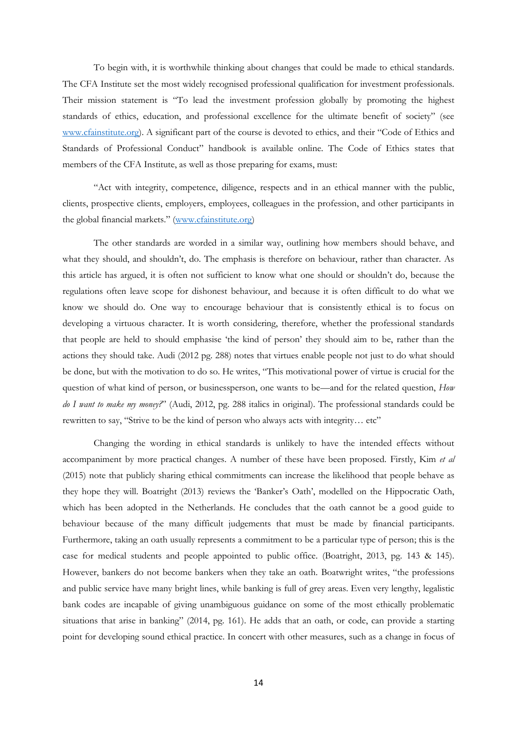To begin with, it is worthwhile thinking about changes that could be made to ethical standards. The CFA Institute set the most widely recognised professional qualification for investment professionals. Their mission statement is "To lead the investment profession globally by promoting the highest standards of ethics, education, and professional excellence for the ultimate benefit of society" (see [www.cfainstitute.org\)](http://www.cfainstitute.org/). A significant part of the course is devoted to ethics, and their "Code of Ethics and Standards of Professional Conduct" handbook is available online. The Code of Ethics states that members of the CFA Institute, as well as those preparing for exams, must:

"Act with integrity, competence, diligence, respects and in an ethical manner with the public, clients, prospective clients, employers, employees, colleagues in the profession, and other participants in the global financial markets." ([www.cfainstitute.org\)](http://www.cfainstitute.org/)

The other standards are worded in a similar way, outlining how members should behave, and what they should, and shouldn't, do. The emphasis is therefore on behaviour, rather than character. As this article has argued, it is often not sufficient to know what one should or shouldn't do, because the regulations often leave scope for dishonest behaviour, and because it is often difficult to do what we know we should do. One way to encourage behaviour that is consistently ethical is to focus on developing a virtuous character. It is worth considering, therefore, whether the professional standards that people are held to should emphasise 'the kind of person' they should aim to be, rather than the actions they should take. Audi (2012 pg. 288) notes that virtues enable people not just to do what should be done, but with the motivation to do so. He writes, "This motivational power of virtue is crucial for the question of what kind of person, or businessperson, one wants to be—and for the related question, *How do I want to make my money?*" (Audi, 2012, pg. 288 italics in original). The professional standards could be rewritten to say, "Strive to be the kind of person who always acts with integrity… etc"

Changing the wording in ethical standards is unlikely to have the intended effects without accompaniment by more practical changes. A number of these have been proposed. Firstly, Kim *et al* (2015) note that publicly sharing ethical commitments can increase the likelihood that people behave as they hope they will. Boatright (2013) reviews the 'Banker's Oath', modelled on the Hippocratic Oath, which has been adopted in the Netherlands. He concludes that the oath cannot be a good guide to behaviour because of the many difficult judgements that must be made by financial participants. Furthermore, taking an oath usually represents a commitment to be a particular type of person; this is the case for medical students and people appointed to public office. (Boatright, 2013, pg. 143 & 145). However, bankers do not become bankers when they take an oath. Boatwright writes, "the professions and public service have many bright lines, while banking is full of grey areas. Even very lengthy, legalistic bank codes are incapable of giving unambiguous guidance on some of the most ethically problematic situations that arise in banking" (2014, pg. 161). He adds that an oath, or code, can provide a starting point for developing sound ethical practice. In concert with other measures, such as a change in focus of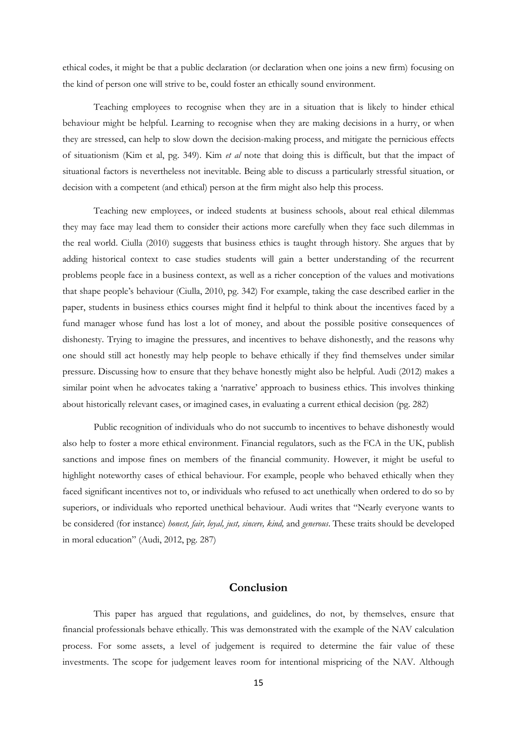ethical codes, it might be that a public declaration (or declaration when one joins a new firm) focusing on the kind of person one will strive to be, could foster an ethically sound environment.

Teaching employees to recognise when they are in a situation that is likely to hinder ethical behaviour might be helpful. Learning to recognise when they are making decisions in a hurry, or when they are stressed, can help to slow down the decision-making process, and mitigate the pernicious effects of situationism (Kim et al, pg. 349). Kim *et al* note that doing this is difficult, but that the impact of situational factors is nevertheless not inevitable. Being able to discuss a particularly stressful situation, or decision with a competent (and ethical) person at the firm might also help this process.

Teaching new employees, or indeed students at business schools, about real ethical dilemmas they may face may lead them to consider their actions more carefully when they face such dilemmas in the real world. Ciulla (2010) suggests that business ethics is taught through history. She argues that by adding historical context to case studies students will gain a better understanding of the recurrent problems people face in a business context, as well as a richer conception of the values and motivations that shape people's behaviour (Ciulla, 2010, pg. 342) For example, taking the case described earlier in the paper, students in business ethics courses might find it helpful to think about the incentives faced by a fund manager whose fund has lost a lot of money, and about the possible positive consequences of dishonesty. Trying to imagine the pressures, and incentives to behave dishonestly, and the reasons why one should still act honestly may help people to behave ethically if they find themselves under similar pressure. Discussing how to ensure that they behave honestly might also be helpful. Audi (2012) makes a similar point when he advocates taking a 'narrative' approach to business ethics. This involves thinking about historically relevant cases, or imagined cases, in evaluating a current ethical decision (pg. 282)

Public recognition of individuals who do not succumb to incentives to behave dishonestly would also help to foster a more ethical environment. Financial regulators, such as the FCA in the UK, publish sanctions and impose fines on members of the financial community. However, it might be useful to highlight noteworthy cases of ethical behaviour. For example, people who behaved ethically when they faced significant incentives not to, or individuals who refused to act unethically when ordered to do so by superiors, or individuals who reported unethical behaviour. Audi writes that "Nearly everyone wants to be considered (for instance) *honest, fair, loyal, just, sincere, kind,* and *generous*. These traits should be developed in moral education" (Audi, 2012, pg. 287)

#### **Conclusion**

This paper has argued that regulations, and guidelines, do not, by themselves, ensure that financial professionals behave ethically. This was demonstrated with the example of the NAV calculation process. For some assets, a level of judgement is required to determine the fair value of these investments. The scope for judgement leaves room for intentional mispricing of the NAV. Although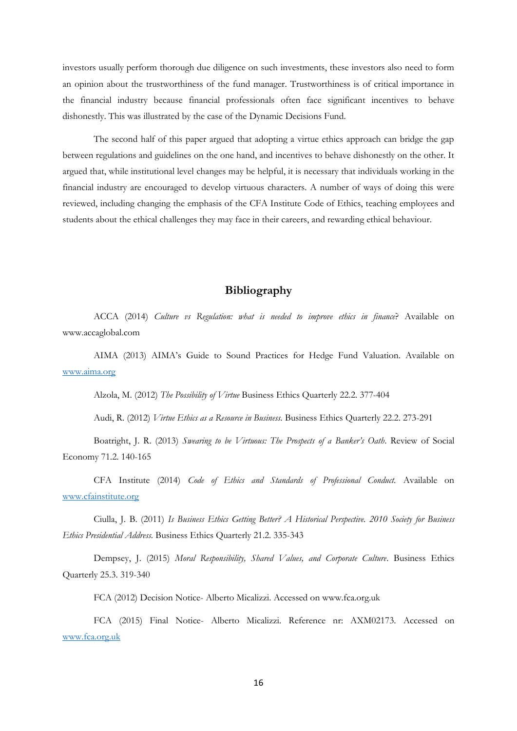investors usually perform thorough due diligence on such investments, these investors also need to form an opinion about the trustworthiness of the fund manager. Trustworthiness is of critical importance in the financial industry because financial professionals often face significant incentives to behave dishonestly. This was illustrated by the case of the Dynamic Decisions Fund.

The second half of this paper argued that adopting a virtue ethics approach can bridge the gap between regulations and guidelines on the one hand, and incentives to behave dishonestly on the other. It argued that, while institutional level changes may be helpful, it is necessary that individuals working in the financial industry are encouraged to develop virtuous characters. A number of ways of doing this were reviewed, including changing the emphasis of the CFA Institute Code of Ethics, teaching employees and students about the ethical challenges they may face in their careers, and rewarding ethical behaviour.

#### **Bibliography**

ACCA (2014) *Culture vs Regulation: what is needed to improve ethics in finance*? Available on www.accaglobal.com

AIMA (2013) AIMA's Guide to Sound Practices for Hedge Fund Valuation. Available on [www.aima.org](http://www.aima.org/)

Alzola, M. (2012) *The Possibility of Virtue* Business Ethics Quarterly 22.2. 377-404

Audi, R. (2012) *Virtue Ethics as a Resource in Business.* Business Ethics Quarterly 22.2. 273-291

Boatright, J. R. (2013) *Swearing to be Virtuous: The Prospects of a Banker's Oath*. Review of Social Economy 71.2. 140-165

CFA Institute (2014) *Code of Ethics and Standards of Professional Conduct.* Available on [www.cfainstitute.org](http://www.cfainstitute.org/)

Ciulla, J. B. (2011) *Is Business Ethics Getting Better? A Historical Perspective. 2010 Society for Business Ethics Presidential Address.* Business Ethics Quarterly 21.2. 335-343

Dempsey, J. (2015) *Moral Responsibility, Shared Values, and Corporate Culture*. Business Ethics Quarterly 25.3. 319-340

FCA (2012) Decision Notice- Alberto Micalizzi. Accessed on www.fca.org.uk

FCA (2015) Final Notice- Alberto Micalizzi. Reference nr: AXM02173. Accessed on [www.fca.org.uk](http://www.fca.org.uk/)